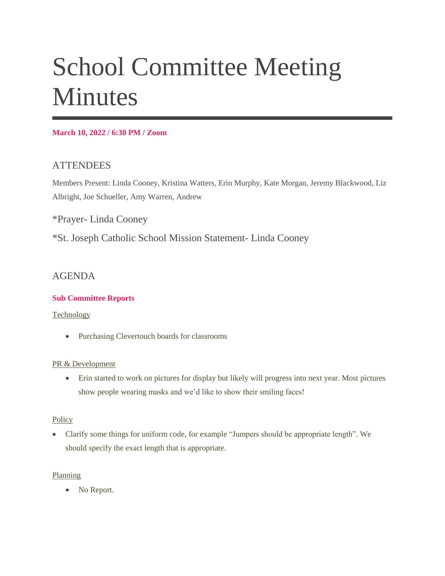# School Committee Meeting **Minutes**

## **March 10, 2022 / 6:30 PM / Zoom**

# **ATTENDEES**

Members Present: Linda Cooney, Kristina Watters, Erin Murphy, Kate Morgan, Jeremy Blackwood, Liz Albright, Joe Schueller, Amy Warren, Andrew

\*Prayer- Linda Cooney

\*St. Joseph Catholic School Mission Statement- Linda Cooney

# AGENDA

# **Sub Committee Reports**

#### Technology

• Purchasing Clevertouch boards for classrooms

# PR & Development

 Erin started to work on pictures for display but likely will progress into next year. Most pictures show people wearing masks and we'd like to show their smiling faces!

# **Policy**

 Clarify some things for uniform code, for example "Jumpers should be appropriate length". We should specify the exact length that is appropriate.

# Planning

• No Report.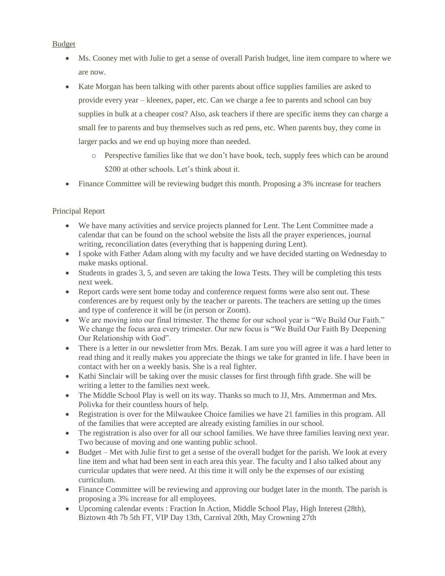## Budget

- Ms. Cooney met with Julie to get a sense of overall Parish budget, line item compare to where we are now.
- Kate Morgan has been talking with other parents about office supplies families are asked to provide every year – kleenex, paper, etc. Can we charge a fee to parents and school can buy supplies in bulk at a cheaper cost? Also, ask teachers if there are specific items they can charge a small fee to parents and buy themselves such as red pens, etc. When parents buy, they come in larger packs and we end up buying more than needed.
	- o Perspective families like that we don't have book, tech, supply fees which can be around \$200 at other schools. Let's think about it.
- Finance Committee will be reviewing budget this month. Proposing a 3% increase for teachers

## Principal Report

- We have many activities and service projects planned for Lent. The Lent Committee made a calendar that can be found on the school website the lists all the prayer experiences, journal writing, reconciliation dates (everything that is happening during Lent).
- I spoke with Father Adam along with my faculty and we have decided starting on Wednesday to make masks optional.
- Students in grades 3, 5, and seven are taking the Iowa Tests. They will be completing this tests next week.
- Report cards were sent home today and conference request forms were also sent out. These conferences are by request only by the teacher or parents. The teachers are setting up the times and type of conference it will be (in person or Zoom).
- We are moving into our final trimester. The theme for our school year is "We Build Our Faith." We change the focus area every trimester. Our new focus is "We Build Our Faith By Deepening" Our Relationship with God".
- There is a letter in our newsletter from Mrs. Bezak. I am sure you will agree it was a hard letter to read thing and it really makes you appreciate the things we take for granted in life. I have been in contact with her on a weekly basis. She is a real fighter.
- Kathi Sinclair will be taking over the music classes for first through fifth grade. She will be writing a letter to the families next week.
- The Middle School Play is well on its way. Thanks so much to JJ, Mrs. Ammerman and Mrs. Polivka for their countless hours of help.
- Registration is over for the Milwaukee Choice families we have 21 families in this program. All of the families that were accepted are already existing families in our school.
- The registration is also over for all our school families. We have three families leaving next year. Two because of moving and one wanting public school.
- Budget Met with Julie first to get a sense of the overall budget for the parish. We look at every line item and what had been sent in each area this year. The faculty and I also talked about any curricular updates that were need. At this time it will only be the expenses of our existing curriculum.
- Finance Committee will be reviewing and approving our budget later in the month. The parish is proposing a 3% increase for all employees.
- Upcoming calendar events : Fraction In Action, Middle School Play, High Interest (28th), Biztown 4th 7b 5th FT, VIP Day 13th, Carnival 20th, May Crowning 27th